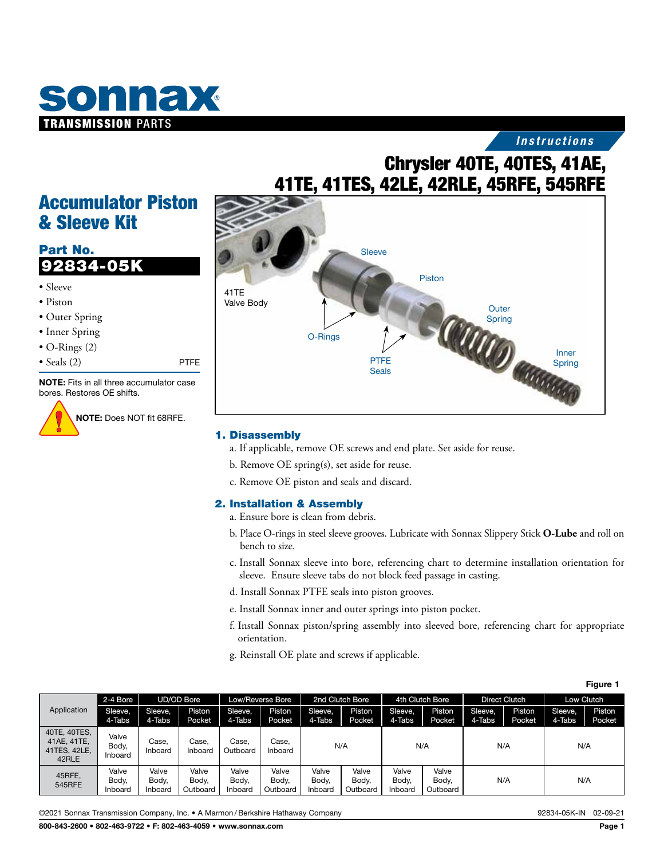

## *Instructions*

## Chrysler 40TE, 40TES, 41AE, 41TE, 41TES, 42LE, 42RLE, 45RFE, 545RFE

## Accumulator Piston & Sleeve Kit

## Part No. 92834-05K

• Sleeve • Piston • Outer Spring • Inner Spring • O-Rings (2) • Seals (2) PTFE NOTE: Fits in all three accumulator case bores. Restores OE shifts.



NOTE: Does NOT fit 68RFE.



#### 1. Disassembly

- a. If applicable, remove OE screws and end plate. Set aside for reuse.
- b. Remove OE spring(s), set aside for reuse.
- c. Remove OE piston and seals and discard.

## 2. Installation & Assembly

- a. Ensure bore is clean from debris.
- b. Place O-rings in steel sleeve grooves. Lubricate with Sonnax Slippery Stick **O-Lube** and roll on bench to size.
- c. Install Sonnax sleeve into bore, referencing chart to determine installation orientation for sleeve. Ensure sleeve tabs do not block feed passage in casting.
- d. Install Sonnax PTFE seals into piston grooves.
- e. Install Sonnax inner and outer springs into piston pocket.
- f. Install Sonnax piston/spring assembly into sleeved bore, referencing chart for appropriate orientation.
- g. Reinstall OE plate and screws if applicable.

| Figure 1                                             |                           |                           |                            |                           |                            |                           |                            |                           |                            |                      |                         |                   |                  |
|------------------------------------------------------|---------------------------|---------------------------|----------------------------|---------------------------|----------------------------|---------------------------|----------------------------|---------------------------|----------------------------|----------------------|-------------------------|-------------------|------------------|
| Application                                          | 2-4 Bore                  | <b>UD/OD Bore</b>         |                            | Low/Reverse Bore          |                            | 2nd Clutch Bore           |                            | 4th Clutch Bore           |                            | <b>Direct Clutch</b> |                         | Low Clutch        |                  |
|                                                      | Sleeve,<br>4-Tabs         | Sleeve,<br>4-Tabs         | <b>Piston</b><br>Pocket    | Sleeve.<br>4-Tabs         | <b>Piston</b><br>Pocket    | Sleeve,<br>4-Tabs         | Piston<br>Pocket           | Sleeve,<br>4-Tabs         | Piston<br>Pocket           | Sleeve,<br>4-Tabs    | Piston<br><b>Pocket</b> | Sleeve,<br>4-Tabs | Piston<br>Pocket |
| 40TE, 40TES.<br>41AE, 41TE.<br>41TES, 42LE,<br>42RLE | Valve<br>Body,<br>Inboard | Case,<br>Inboard          | Case.<br>Inboard           | Case.<br>Outboard         | Case,<br>Inboard           |                           | N/A                        |                           | N/A                        | N/A                  |                         | N/A               |                  |
| 45RFE,<br>545RFE                                     | Valve<br>Body,<br>Inboard | Valve<br>Body,<br>Inboard | Valve<br>Body,<br>Outboard | Valve<br>Body,<br>Inboard | Valve<br>Body.<br>Outboard | Valve<br>Body,<br>Inboard | Valve<br>Body,<br>Outboard | Valve<br>Body,<br>Inboard | Valve<br>Body,<br>Outboard | N/A                  |                         | N/A               |                  |

©2021 Sonnax Transmission Company, Inc. • A Marmon /Berkshire Hathaway Company 92834-05K-IN 02-09-21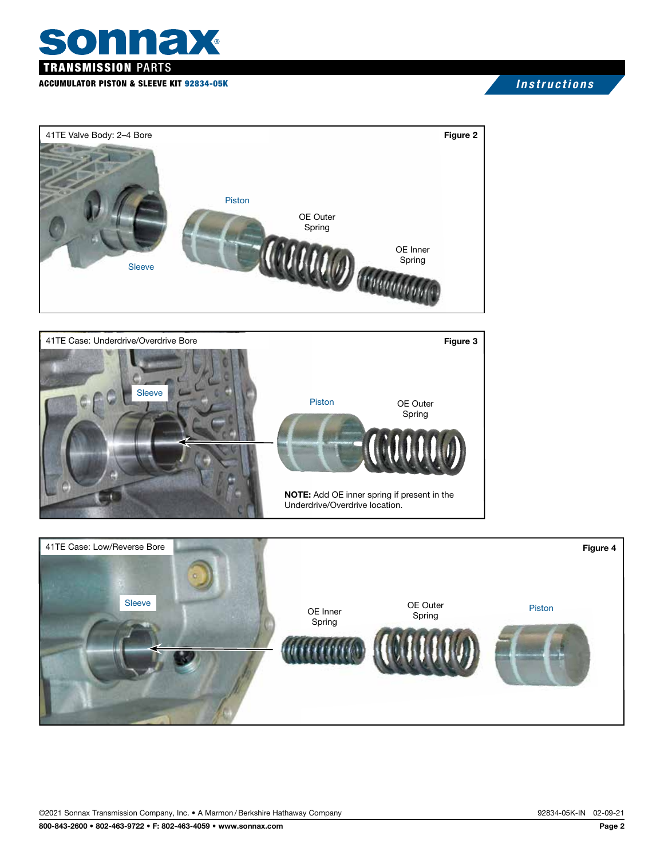# sonnax TRANSMISSION PARTS

### ACCUMULATOR PISTON & SLEEVE KIT 92834-05K *Instructions*